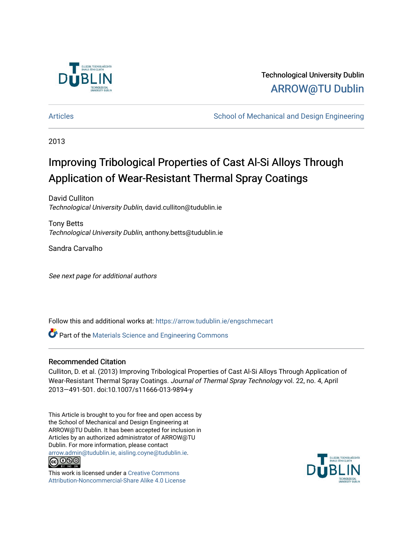

Technological University Dublin [ARROW@TU Dublin](https://arrow.tudublin.ie/) 

[Articles](https://arrow.tudublin.ie/engschmecart) **School of Mechanical and Design Engineering** School of Mechanical and Design Engineering

2013

## Improving Tribological Properties of Cast Al-Si Alloys Through Application of Wear-Resistant Thermal Spray Coatings

David Culliton Technological University Dublin, david.culliton@tudublin.ie

Tony Betts Technological University Dublin, anthony.betts@tudublin.ie

Sandra Carvalho

See next page for additional authors

Follow this and additional works at: [https://arrow.tudublin.ie/engschmecart](https://arrow.tudublin.ie/engschmecart?utm_source=arrow.tudublin.ie%2Fengschmecart%2F40&utm_medium=PDF&utm_campaign=PDFCoverPages) 

**C** Part of the Materials Science and Engineering Commons

## Recommended Citation

Culliton, D. et al. (2013) Improving Tribological Properties of Cast Al-Si Alloys Through Application of Wear-Resistant Thermal Spray Coatings. Journal of Thermal Spray Technology vol. 22, no. 4, April 2013—491-501. doi:10.1007/s11666-013-9894-y

This Article is brought to you for free and open access by the School of Mechanical and Design Engineering at ARROW@TU Dublin. It has been accepted for inclusion in Articles by an authorized administrator of ARROW@TU Dublin. For more information, please contact [arrow.admin@tudublin.ie, aisling.coyne@tudublin.ie](mailto:arrow.admin@tudublin.ie,%20aisling.coyne@tudublin.ie).



This work is licensed under a [Creative Commons](http://creativecommons.org/licenses/by-nc-sa/4.0/) [Attribution-Noncommercial-Share Alike 4.0 License](http://creativecommons.org/licenses/by-nc-sa/4.0/)

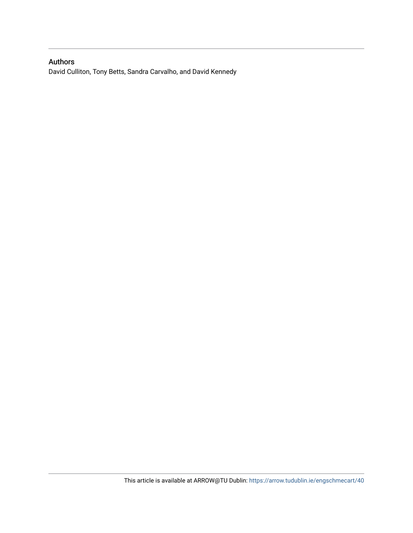## Authors

David Culliton, Tony Betts, Sandra Carvalho, and David Kennedy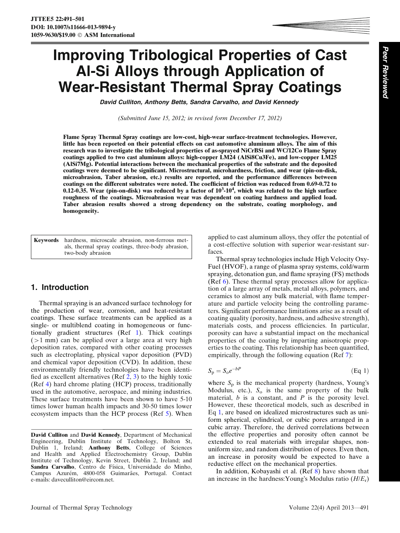# Improving Tribological Properties of Cast Al-Si Alloys through Application of Wear-Resistant Thermal Spray Coatings

David Culliton, Anthony Betts, Sandra Carvalho, and David Kennedy

(Submitted June 15, 2012; in revised form December 17, 2012)

Flame Spray Thermal Spray coatings are low-cost, high-wear surface-treatment technologies. However, little has been reported on their potential effects on cast automotive aluminum alloys. The aim of this research was to investigate the tribological properties of as-sprayed NiCrBSi and WC/12Co Flame Spray coatings applied to two cast aluminum alloys: high-copper LM24 (AlSi8Cu3Fe), and low-copper LM25 (AlSi7Mg). Potential interactions between the mechanical properties of the substrate and the deposited coatings were deemed to be significant. Microstructural, microhardness, friction, and wear (pin-on-disk, microabrasion, Taber abrasion, etc.) results are reported, and the performance differences between coatings on the different substrates were noted. The coefficient of friction was reduced from 0.69-0.72 to 0.12-0.35. Wear (pin-on-disk) was reduced by a factor of  $10^3$ -10<sup>4</sup>, which was related to the high surface roughness of the coatings. Microabrasion wear was dependent on coating hardness and applied load. Taber abrasion results showed a strong dependency on the substrate, coating morphology, and homogeneity.

| <b>Keywords</b> hardness, microscale abrasion, non-ferrous met-<br>als, thermal spray coatings, three-body abrasion, |
|----------------------------------------------------------------------------------------------------------------------|
| two-body abrasion                                                                                                    |

## 1. Introduction

Thermal spraying is an advanced surface technology for the production of wear, corrosion, and heat-resistant coatings. These surface treatments can be applied as a single- or multiblend coating in homogeneous or functionally gradient structures (Ref 1). Thick coatings  $(>1$  mm) can be applied over a large area at very high deposition rates, compared with other coating processes such as electroplating, physical vapor deposition (PVD) and chemical vapor deposition (CVD). In addition, these environmentally friendly technologies have been identified as excellent alternatives (Ref  $2, 3$ ) to the highly toxic (Ref 4) hard chrome plating (HCP) process, traditionally used in the automotive, aerospace, and mining industries. These surface treatments have been shown to have 5-10 times lower human health impacts and 30-50 times lower ecosystem impacts than the HCP process (Ref 5). When

David Culliton and David Kennedy, Department of Mechanical Engineering, Dublin Institute of Technology, Bolton St, Dublin 1, Ireland; Anthony Betts, College of Sciences and Health and Applied Electrochemistry Group, Dublin Institute of Technology, Kevin Street, Dublin 2, Ireland; and Sandra Carvalho, Centro de Física, Universidade do Minho, Campus Azurém, 4800-058 Guimarães, Portugal. Contact e-mails: daveculliton@eircom.net.

applied to cast aluminum alloys, they offer the potential of a cost-effective solution with superior wear-resistant surfaces.

Thermal spray technologies include High Velocity Oxy-Fuel (HVOF), a range of plasma spray systems, cold/warm spraying, detonation gun, and flame spraying (FS) methods (Ref 6). These thermal spray processes allow for application of a large array of metals, metal alloys, polymers, and ceramics to almost any bulk material, with flame temperature and particle velocity being the controlling parameters. Significant performance limitations arise as a result of coating quality (porosity, hardness, and adhesive strength), materials costs, and process efficiencies. In particular, porosity can have a substantial impact on the mechanical properties of the coating by imparting anisotropic properties to the coating. This relationship has been quantified, empirically, through the following equation (Ref 7):

$$
S_p = S_o e^{-bP} \tag{Eq 1}
$$

where  $S_p$  is the mechanical property (hardness, Young's Modulus, etc.),  $S_0$  is the same property of the bulk material,  $b$  is a constant, and  $P$  is the porosity level. However, these theoretical models, such as described in Eq 1, are based on idealized microstructures such as uniform spherical, cylindrical, or cubic pores arranged in a cubic array. Therefore, the derived correlations between the effective properties and porosity often cannot be extended to real materials with irregular shapes, nonuniform size, and random distribution of pores. Even then, an increase in porosity would be expected to have a reductive effect on the mechanical properties.

In addition, Kobayashi et al. (Ref 8) have shown that an increase in the hardness: Young's Modulus ratio  $(H/E_r)$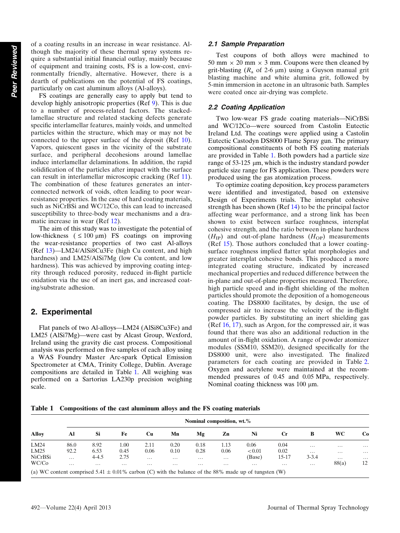of a coating results in an increase in wear resistance. Although the majority of these thermal spray systems require a substantial initial financial outlay, mainly because of equipment and training costs, FS is a low-cost, environmentally friendly, alternative. However, there is a dearth of publications on the potential of FS coatings, particularly on cast aluminum alloys (Al-alloys).

FS coatings are generally easy to apply but tend to develop highly anisotropic properties (Ref 9). This is due to a number of process-related factors. The stackedlamellae structure and related stacking defects generate specific interlamellar features, mainly voids, and unmelted particles within the structure, which may or may not be connected to the upper surface of the deposit (Ref 10). Vapors, quiescent gases in the vicinity of the substrate surface, and peripheral decohesions around lamellae induce interlamellar delaminations. In addition, the rapid solidification of the particles after impact with the surface can result in interlamellar microscopic cracking (Ref 11). The combination of these features generates an interconnected network of voids, often leading to poor wearresistance properties. In the case of hard coating materials, such as NiCrBSi and WC/12Co, this can lead to increased susceptibility to three-body wear mechanisms and a dramatic increase in wear (Ref 12).

The aim of this study was to investigate the potential of low-thickness  $( \leq 100 \text{ }\mu\text{m})$  FS coatings on improving the wear-resistance properties of two cast Al-alloys (Ref 13)—LM24/AlSi8Cu3Fe (high Cu content, and high hardness) and LM25/AlSi7Mg (low Cu content, and low hardness). This was achieved by improving coating integrity through reduced porosity, reduced in-flight particle oxidation via the use of an inert gas, and increased coating/substrate adhesion.

### 2. Experimental

Flat panels of two Al-alloys—LM24 (AlSi8Cu3Fe) and LM25 (AlSi7Mg)—were cast by Alcast Group, Wexford, Ireland using the gravity die cast process. Compositional analysis was performed on five samples of each alloy using a WAS Foundry Master Arc-spark Optical Emission Spectrometer at CMA, Trinity College, Dublin. Average compositions are detailed in Table 1. All weighing was performed on a Sartorius LA230p precision weighing scale.

#### 2.1 Sample Preparation

Test coupons of both alloys were machined to 50 mm  $\times$  20 mm  $\times$  3 mm. Coupons were then cleaned by grit-blasting ( $R_a$  of 2-6  $\mu$ m) using a Guyson manual grit blasting machine and white alumina grit, followed by 5-min immersion in acetone in an ultrasonic bath. Samples were coated once air-drying was complete.

#### 2.2 Coating Application

Two low-wear FS grade coating materials—NiCrBSi and WC/12Co—were sourced from Castolin Eutectic Ireland Ltd. The coatings were applied using a Castolin Eutectic Castodyn DS8000 Flame Spray gun. The primary compositional constituents of both FS coating materials are provided in Table 1. Both powders had a particle size range of  $53-125 \mu m$ , which is the industry standard powder particle size range for FS application. These powders were produced using the gas atomization process.

To optimize coating deposition, key process parameters were identified and investigated, based on extensive Design of Experiments trials. The intersplat cohesive strength has been shown (Ref  $14$ ) to be the principal factor affecting wear performance, and a strong link has been shown to exist between surface roughness, intersplat cohesive strength, and the ratio between in-plane hardness  $(H_{IP})$  and out-of-plane hardness  $(H_{OP})$  measurements (Ref 15). Those authors concluded that a lower coatingsurface roughness implied flatter splat morphologies and greater intersplat cohesive bonds. This produced a more integrated coating structure, indicated by increased mechanical properties and reduced difference between the in-plane and out-of-plane properties measured. Therefore, high particle speed and in-flight shielding of the molten particles should promote the deposition of a homogeneous coating. The DS8000 facilitates, by design, the use of compressed air to increase the velocity of the in-flight powder particles. By substituting an inert shielding gas (Ref 16, 17), such as Argon, for the compressed air, it was found that there was also an additional reduction in the amount of in-flight oxidation. A range of powder atomizer modules (SSM10, SSM20), designed specifically for the DS8000 unit, were also investigated. The finalized parameters for each coating are provided in Table 2. Oxygen and acetylene were maintained at the recommended pressures of 0.45 and 0.05 MPa, respectively. Nominal coating thickness was  $100 \mu m$ .

Table 1 Compositions of the cast aluminum alloys and the FS coating materials

|              | Nominal composition, wt.% |           |          |           |          |          |          |                                                                                                          |           |           |          |          |
|--------------|---------------------------|-----------|----------|-----------|----------|----------|----------|----------------------------------------------------------------------------------------------------------|-----------|-----------|----------|----------|
| <b>Alloy</b> | Al                        | -Si       | Fe       | <b>Cu</b> | Mn       | Mg       | Zn       | Ni                                                                                                       | <b>Cr</b> | в         | WС       | Co       |
| LM24         | 86.0                      | 8.92      | $1.00\,$ | 2.11      | 0.20     | 0.18     | 1.13     | 0.06                                                                                                     | 0.04      | $\cdots$  | $\cdots$ | $\cdots$ |
| LM25         | 92.2                      | 6.53      | 0.45     | 0.06      | 0.10     | 0.28     | 0.06     | < 0.01                                                                                                   | 0.02      | $\cdots$  | $\cdots$ | $\cdots$ |
| NiCrBSi      | $\cdots$                  | $4 - 4.5$ | 2.75     | .         | $\cdots$ | $\cdots$ | $\cdots$ | (Base)                                                                                                   | 15-17     | $3 - 3.4$ | $\cdots$ | $\cdots$ |
| WC/Co        | $\cdots$                  | .         | $\cdots$ | .         | $\cdots$ | $\cdots$ | $\cdots$ | .                                                                                                        | $\cdots$  | $\cdots$  | 88(a)    | 12       |
|              |                           |           |          |           |          |          |          | (a) WC content comprised 5.41 $\pm$ 0.01% carbon (C) with the balance of the 88% made up of tungsten (W) |           |           |          |          |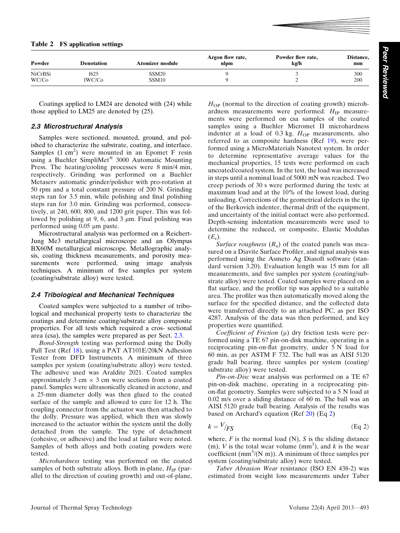| 101 010 mm, while polioming and man pomoning      | unloading. Corrections of the geometrical defects in the tip |
|---------------------------------------------------|--------------------------------------------------------------|
| for 3.0 min. Grinding was performed, consecu-     |                                                              |
|                                                   | of the Berkovich indenter, thermal drift of the equipment,   |
| 240, 600, 800, and 1200 grit paper. This was fol- |                                                              |
|                                                   | and uncertainty of the initial contact were also performed.  |
|                                                   |                                                              |

Table 2 FS application settings

| Powder                  | <b>Denotation</b> | <b>Atomizer module</b>                 | Argon flow rate,<br>nlpm | Powder flow rate,<br>kg/h | Distance,<br>mm |
|-------------------------|-------------------|----------------------------------------|--------------------------|---------------------------|-----------------|
| <b>NiCrBSi</b><br>WC/Co | f625<br>fWC/Co    | SSM <sub>20</sub><br>SSM <sub>10</sub> |                          |                           | 300<br>200      |

Coatings applied to LM24 are denoted with (24) while those applied to LM25 are denoted by (25).

#### 2.3 Microstructural Analysis

Samples were sectioned, mounted, ground, and polished to characterize the substrate, coating, and interface. Samples  $(1 \text{ cm}^2)$  were mounted in an Epomet F resin using a Buehler SimpliMet<sup>®</sup> 3000 Automatic Mounting Press. The heating/cooling processes were 8 min/4 min, respectively. Grinding was performed on a Buehler Metaserv automatic grinder/polisher with pro-rotation at 50 rpm and a total constant pressure of 200 N. Grinding steps ran for 3.5 min, while polishing and final polishing steps ran tively, at 2 lowed by polishing at 9, 6, and 3  $\mu$ m. Final polishing was performed using  $0.05 \mu m$  paste.

Microstructural analysis was performed on a Reichert-Jung Me3 metallurgical microscope and an Olympus BX60M metallurgical microscope. Metallographic analysis, coating thickness measurements, and porosity measurements were performed, using image analysis techniques. A minimum of five samples per system (coating/substrate alloy) were tested.

#### 2.4 Tribological and Mechanical Techniques

Coated samples were subjected to a number of tribological and mechanical property tests to characterize the coatings and determine coating/substrate alloy composite properties. For all tests which required a cros- sectional area (csa), the samples were prepared as per Sect. 2.3.

Bond-Strength testing was performed using the Dolly Pull Test (Ref 18), using a PAT AT101E/20kN Adhesion Tester from DFD Instruments. A minimum of three samples per system (coating/substrate alloy) were tested. The adhesive used was Araldite 2021. Coated samples approximately 3 cm  $\times$  3 cm were sections from a coated panel. Samples were ultrasonically cleaned in acetone, and a 25-mm diameter dolly was then glued to the coated surface of the sample and allowed to cure for 12 h. The coupling connector from the actuator was then attached to the dolly. Pressure was applied, which then was slowly increased to the actuator within the system until the dolly detached from the sample. The type of detachment (cohesive, or adhesive) and the load at failure were noted. Samples of both alloys and both coating powders were tested.

Microhardness testing was performed on the coated samples of both substrate alloys. Both in-plane,  $H_{IP}$  (parallel to the direction of coating growth) and out-of-plane,  $H_{\text{OP}}$  (normal to the direction of coating growth) microhardness measurements were performed.  $H_{IP}$  measurements were performed on csa samples of the coated samples using a Buehler Micromet II microhardness indenter at a load of  $0.3$  kg.  $H_{\text{OP}}$  measurements, also referred to as composite hardness (Ref 19), were performed using a MicroMaterials Nanotest system. In order to determine representative average values for the mechanical properties, 15 tests were performed on each uncoated/coated system. In the test, the load was increased in steps until a nominal load of 5000 mN was reached. Two creep periods of 30 s were performed during the tests: at maximum load and at the 10% of the lowest load, during unloading. Corrections of the geometrical defects in the tip and uncertainty of the initial contact were also performed. Depth-sensing indentation measurements were used to determine the reduced, or composite, Elastic Modulus  $(E_r)$ .

Surface roughness  $(R_a)$  of the coated panels was measured on a Diavite Surface Profiler, and signal analysis was performed using the Asmeto Ag Diasoft software (standard version 3.20). Evaluation length was 15 mm for all measurements, and five samples per system (coating/substrate alloy) were tested. Coated samples were placed on a flat surface, and the profiler tip was applied to a suitable area. The profiler was then automatically moved along the surface for the specified distance, and the collected data were transferred directly to an attached PC, as per ISO 4287. Analysis of the data was then performed, and key properties were quantified.

Coefficient of Friction  $(\mu)$  dry friction tests were performed using a TE 67 pin-on-disk machine, operating in a reciprocating pin-on-flat geometry, under 5 N load for 60 min, as per ASTM F 732. The ball was an AISI 5120 grade ball bearing. three samples per system (coating/ substrate alloy) were tested.

Pin-on-Disc wear analysis was performed on a TE 67 pin-on-disk machine, operating in a reciprocating pinon-flat geometry. Samples were subjected to a 5 N load at 0.02 m/s over a sliding distance of 60 m. The ball was an AISI 5120 grade ball bearing. Analysis of the results was based on Archard's equation (Ref  $20$ ) (Eq  $2$ )

$$
k = \frac{V}{FS} \tag{Eq 2}
$$

where,  $F$  is the normal load (N),  $S$  is the sliding distance (m), V is the total wear volume  $(mm^3)$ , and k is the wear coefficient  $(mm^3/(N m))$ . A minimum of three samples per system (coating/substrate alloy) were tested.

Taber Abrasion Wear resistance (ISO EN 438-2) was estimated from weight loss measurements under Taber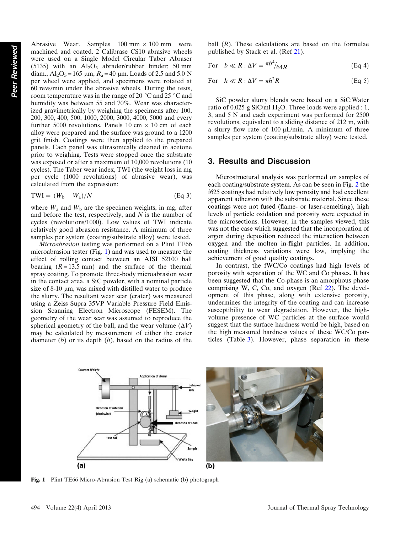Abrasive Wear. Samples  $100 \text{ mm} \times 100 \text{ mm}$  were machined and coated. 2 Calibrase CS10 abrasive wheels were used on a Single Model Circular Taber Abraser (5135) with an  $Al_2O_3$  abrader/rubber binder; 50 mm diam.,  $Al_2O_3 = 165 \mu m$ ,  $R_a = 40 \mu m$ . Loads of 2.5 and 5.0 N per wheel were applied, and specimens were rotated at 60 revs/min under the abrasive wheels. During the tests, room temperature was in the range of 20  $\degree$ C and 25  $\degree$ C and humidity was between 55 and 70%. Wear was characterized gravimetrically by weighing the specimens after 100, 200, 300, 400, 500, 1000, 2000, 3000, 4000, 5000 and every further 5000 revolutions. Panels 10 cm  $\times$  10 cm of each alloy were prepared and the surface was ground to a 1200 grit finish. Coatings were then applied to the prepared panels. Each panel was ultrasonically cleaned in acetone prior to weighing. Tests were stopped once the substrate was exposed or after a maximum of 10,000 revolutions (10 cycles). The Taber wear index, TWI (the weight loss in mg per cycle (1000 revolutions) of abrasive wear), was calculated from the expression:

$$
TWI = (W_b - W_a)/N
$$
 (Eq 3)

where  $W_a$  and  $W_b$  are the specimen weights, in mg, after and before the test, respectively, and  $N$  is the number of cycles (revolutions/1000). Low values of TWI indicate relatively good abrasion resistance. A minimum of three samples per system (coating/substrate alloy) were tested.

Microabrasion testing was performed on a Plint TE66 microabrasion tester (Fig. 1) and was used to measure the effect of rolling contact between an AISI 52100 ball bearing  $(R = 13.5 \text{ mm})$  and the surface of the thermal spray coating. To promote three-body microabrasion wear in the contact area, a SiC powder, with a nominal particle size of 8-10  $\mu$ m, was mixed with distilled water to produce the slurry. The resultant wear scar (crater) was measured using a Zeiss Supra 35VP Variable Pressure Field Emission Scanning Electron Microscope (FESEM). The geometry of the wear scar was assumed to reproduce the spherical geometry of the ball, and the wear volume  $(\Delta V)$ may be calculated by measurement of either the crater diameter  $(b)$  or its depth  $(h)$ , based on the radius of the

ball  $(R)$ . These calculations are based on the formulae published by Stack et al. (Ref 21).

For 
$$
b \ll R : \Delta V = \frac{\pi b^4}{64R}
$$
 (Eq 4)

For 
$$
h \ll R : \Delta V = \pi h^2 R
$$
 (Eq 5)

SiC powder slurry blends were based on a SiC:Water ratio of 0.025 g SiC/ml  $H_2O$ . Three loads were applied : 1, 3, and 5 N and each experiment was performed for 2500 revolutions, equivalent to a sliding distance of 212 m, with a slurry flow rate of  $100 \mu L/min$ . A minimum of three samples per system (coating/substrate alloy) were tested.

#### 3. Results and Discussion

Microstructural analysis was performed on samples of each coating/substrate system. As can be seen in Fig. 2 the f625 coatings had relatively low porosity and had excellent apparent adhesion with the substrate material. Since these coatings were not fused (flame- or laser-remelting), high levels of particle oxidation and porosity were expected in the microsections. However, in the samples viewed, this was not the case which suggested that the incorporation of argon during deposition reduced the interaction between oxygen and the molten in-flight particles. In addition, coating thickness variations were low, implying the achievement of good quality coatings.

In contrast, the fWC/Co coatings had high levels of porosity with separation of the WC and Co phases. It has been suggested that the Co-phase is an amorphous phase comprising W, C, Co, and oxygen (Ref 22). The development of this phase, along with extensive porosity, undermines the integrity of the coating and can increase susceptibility to wear degradation. However, the highvolume presence of WC particles at the surface would suggest that the surface hardness would be high, based on the high measured hardness values of these WC/Co particles (Table 3). However, phase separation in these



Fig. 1 Plint TE66 Micro-Abrasion Test Rig (a) schematic (b) photograph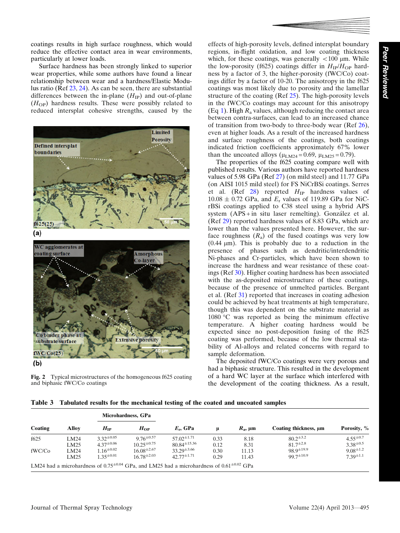coatings results in high surface roughness, which would reduce the effective contact area in wear environments, particularly at lower loads.

Surface hardness has been strongly linked to superior wear properties, while some authors have found a linear relationship between wear and a hardness/Elastic Modulus ratio (Ref 23, 24). As can be seen, there are substantial differences between the in-plane  $(H_{IP})$  and out-of-plane  $(H<sub>OP</sub>)$  hardness results. These were possibly related to reduced intersplat cohesive strengths, caused by the



Fig. 2 Typical microstructures of the homogeneous f625 coating and biphasic fWC/Co coatings

effects of high-porosity levels, defined intersplat boundary regions, in-flight oxidation, and low coating thickness which, for these coatings, was generally  $<100 \mu m$ . While the low-porosity (f625) coatings differ in  $H_{IP}/H_{OP}$  hardness by a factor of 3, the higher-porosity (fWC/Co) coatings differ by a factor of 10-20. The anisotropy in the f625 coatings was most likely due to porosity and the lamellar structure of the coating (Ref  $25$ ). The high-porosity levels in the fWC/Co coatings may account for this anisotropy (Eq 1). High  $R_a$  values, although reducing the contact area between contra-surfaces, can lead to an increased chance of transition from two-body to three-body wear (Ref 26), even at higher loads. As a result of the increased hardness and surface roughness of the coatings, both coatings indicated friction coefficients approximately 67% lower than the uncoated alloys ( $\mu_{LM24} = 0.69$ ,  $\mu_{LM25} = 0.79$ ).

The properties of the f625 coating compare well with published results. Various authors have reported hardness values of 5.98 GPa (Ref 27) (on mild steel) and 11.77 GPa (on AISI 1015 mild steel) for FS NiCrBSi coatings. Serres et al. (Ref  $28$ ) reported  $H_{IP}$  hardness values of  $10.08 \pm 0.72$  GPa, and  $E_r$  values of 119.89 GPa for NiCrBSi coatings applied to C38 steel using a hybrid APS system (APS + in situ laser remelting). González et al. (Ref 29) reported hardness values of 8.83 GPa, which are lower than the values presented here. However, the surface roughness  $(R_a)$  of the fused coatings was very low  $(0.44 \mu m)$ . This is probably due to a reduction in the presence of phases such as dendritic/interdendritic Ni-phases and Cr-particles, which have been shown to increase the hardness and wear resistance of these coatings (Ref 30). Higher coating hardness has been associated with the as-deposited microstructure of these coatings, because of the presence of unmelted particles. Bergant et al. (Ref 31) reported that increases in coating adhesion could be achieved by heat treatments at high temperature, though this was dependent on the substrate material as  $1080$  °C was reported as being the minimum effective temperature. A higher coating hardness would be expected since no post-deposition fusing of the f625 coating was performed, because of the low thermal stability of Al-alloys and related concerns with regard to sample deformation.

The deposited fWC/Co coatings were very porous and had a biphasic structure. This resulted in the development of a hard WC layer at the surface which interfered with the development of the coating thickness. As a result,

Table 3 Tabulated results for the mechanical testing of the coated and uncoated samples

|         |                     | Microhardness, GPa                     |                                         |                                                                                                        |              |                       |                                        |                                     |
|---------|---------------------|----------------------------------------|-----------------------------------------|--------------------------------------------------------------------------------------------------------|--------------|-----------------------|----------------------------------------|-------------------------------------|
| Coating | Allov               | $H_{IP}$                               | $H_{OP}$                                | $E_r$ , GPa                                                                                            | μ            | $R_{\rm a}$ , $\mu$ m | Coating thickness, um                  | Porosity, %                         |
| f625    | LM24<br>LM25        | $3.32^{\pm 0.05}$<br>$4.37^{\pm 0.06}$ | $9.76^{\pm 0.57}$<br>$10.25^{\pm 0.75}$ | $57.02^{\pm 1.71}$<br>$80.84^{\pm 15.36}$                                                              | 0.33<br>0.12 | 8.18<br>8.31          | $80.2^{\pm 3.2}$<br>$81.7^{\pm2.8}$    | $4.55^{\pm0.7}$<br>$3.38^{\pm 0.5}$ |
| fWC/Co  | <b>LM24</b><br>LM25 | $1.16^{\pm 0.02}$<br>$1.35^{\pm0.01}$  | $16.08^{\pm2.67}$<br>$16.78^{\pm2.03}$  | $33.29^{\pm3.66}$<br>$42.77^{\pm1.71}$                                                                 | 0.30<br>0.29 | 11.13<br>11.43        | $98.9^{\pm 19.9}$<br>$99.7^{\pm 10.9}$ | $9.08^{\pm 1.2}$<br>$7.39^{\pm1.1}$ |
|         |                     |                                        |                                         | LM24 had a microhardness of $0.75^{\pm0.04}$ GPa, and LM25 had a microhardness of $0.61^{\pm0.02}$ GPa |              |                       |                                        |                                     |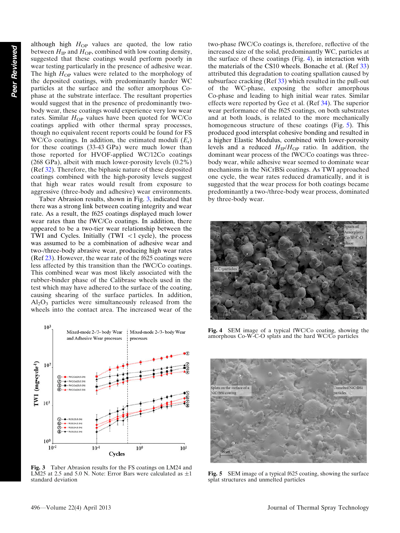although high  $H_{OP}$  values are quoted, the low ratio between  $H_{IP}$  and  $H_{OP}$ , combined with low coating density, suggested that these coatings would perform poorly in wear testing particularly in the presence of adhesive wear. The high  $H_{OP}$  values were related to the morphology of the deposited coatings, with predominantly harder WC particles at the surface and the softer amorphous Cophase at the substrate interface. The resultant properties would suggest that in the presence of predominantly twobody wear, these coatings would experience very low wear rates. Similar  $H_{OP}$  values have been quoted for WC/Co coatings applied with other thermal spray processes, though no equivalent recent reports could be found for FS WC/Co coatings. In addition, the estimated moduli  $(E_r)$ for these coatings (33-43 GPa) were much lower than those reported for HVOF-applied WC/12Co coatings (268 GPa), albeit with much lower-porosity levels (0.2%) (Ref 32). Therefore, the biphasic nature of these deposited coatings combined with the high-porosity levels suggest that high wear rates would result from exposure to aggressive (three-body and adhesive) wear environments.

Taber Abrasion results, shown in Fig. 3, indicated that there was a strong link between coating integrity and wear rate. As a result, the f625 coatings displayed much lower wear rates than the fWC/Co coatings. In addition, there appeared to be a two-tier wear relationship between the TWI and Cycles. Initially  $(TWI < 1$  cycle), the process was assumed to be a combination of adhesive wear and two-/three-body abrasive wear, producing high wear rates (Ref 23). However, the wear rate of the f625 coatings were less affected by this transition than the fWC/Co coatings. This combined wear was most likely associated with the rubber-binder phase of the Calibrase wheels used in the test which may have adhered to the surface of the coating, causing shearing of the surface particles. In addition,  $Al_2O_3$  particles were simultaneously released from the wheels into the contact area. The increased wear of the



Fig. 3 Taber Abrasion results for the FS coatings on LM24 and LM25 at 2.5 and 5.0 N. Note: Error Bars were calculated as  $\pm 1$ standard deviation

two-phase fWC/Co coatings is, therefore, reflective of the increased size of the solid, predominantly WC, particles at the surface of these coatings (Fig. 4), in interaction with the materials of the CS10 wheels. Bonache et al. (Ref 33) attributed this degradation to coating spallation caused by subsurface cracking (Ref 33) which resulted in the pull-out of the WC-phase, exposing the softer amorphous Co-phase and leading to high initial wear rates. Similar effects were reported by Gee et al. (Ref 34). The superior wear performance of the f625 coatings, on both substrates and at both loads, is related to the more mechanically homogeneous structure of these coatings (Fig. 5). This produced good intersplat cohesive bonding and resulted in a higher Elastic Modulus, combined with lower-porosity levels and a reduced  $H_{IP}/H_{OP}$  ratio. In addition, the dominant wear process of the fWC/Co coatings was threebody wear, while adhesive wear seemed to dominate wear mechanisms in the NiCrBSi coatings. As TWI approached one cycle, the wear rates reduced dramatically, and it is suggested that the wear process for both coatings became predominantly a two-/three-body wear process, dominated by three-body wear.



Fig. 4 SEM image of a typical fWC/Co coating, showing the amorphous Co-W-C-O splats and the hard WC/Co particles



Fig. 5 SEM image of a typical f625 coating, showing the surface splat structures and unmelted particles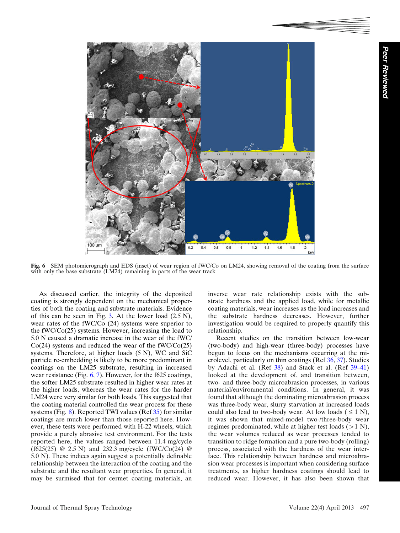

Fig. 6 SEM photomicrograph and EDS (inset) of wear region of fWC/Co on LM24, showing removal of the coating from the surface with only the base substrate (LM24) remaining in parts of the wear track

As discussed earlier, the integrity of the deposited coating is strongly dependent on the mechanical properties of both the coating and substrate materials. Evidence of this can be seen in Fig. 3. At the lower load  $(2.5 N)$ , wear rates of the fWC/Co (24) systems were superior to the fWC/Co(25) systems. However, increasing the load to 5.0 N caused a dramatic increase in the wear of the fWC/  $Co(24)$  systems and reduced the wear of the fWC/ $Co(25)$ systems. Therefore, at higher loads (5 N), WC and SiC particle re-embedding is likely to be more predominant in coatings on the LM25 substrate, resulting in increased wear resistance (Fig. 6, 7). However, for the f625 coatings, the softer LM25 substrate resulted in higher wear rates at the higher loads, whereas the wear rates for the harder LM24 were very similar for both loads. This suggested that the coating material controlled the wear process for these systems (Fig.  $\frac{8}{2}$ ). Reported TWI values (Ref 35) for similar coatings are much lower than those reported here. However, these tests were performed with H-22 wheels, which provide a purely abrasive test environment. For the tests reported here, the values ranged between 11.4 mg/cycle (f625(25) @ 2.5 N) and 232.3 mg/cycle (fWC/Co(24) @ 5.0 N). These indices again suggest a potentially definable relationship between the interaction of the coating and the substrate and the resultant wear properties. In general, it may be surmised that for cermet coating materials, an

inverse wear rate relationship exists with the substrate hardness and the applied load, while for metallic coating materials, wear increases as the load increases and the substrate hardness decreases. However, further investigation would be required to properly quantify this relationship.

Recent studies on the transition between low-wear (two-body) and high-wear (three-body) processes have begun to focus on the mechanisms occurring at the microlevel, particularly on thin coatings (Ref 36, 37). Studies by Adachi et al. (Ref 38) and Stack et al. (Ref 39–41) looked at the development of, and transition between, two- and three-body microabrasion processes, in various material/environmental conditions. In general, it was found that although the dominating microabrasion process was three-body wear, slurry starvation at increased loads could also lead to two-body wear. At low loads  $( \leq 1 \text{ N})$ , it was shown that mixed-model two-/three-body wear regimes predominated, while at higher test loads  $(>1 \text{ N})$ , the wear volumes reduced as wear processes tended to transition to ridge formation and a pure two-body (rolling) process, associated with the hardness of the wear interface. This relationship between hardness and microabrasion wear processes is important when considering surface treatments, as higher hardness coatings should lead to reduced wear. However, it has also been shown that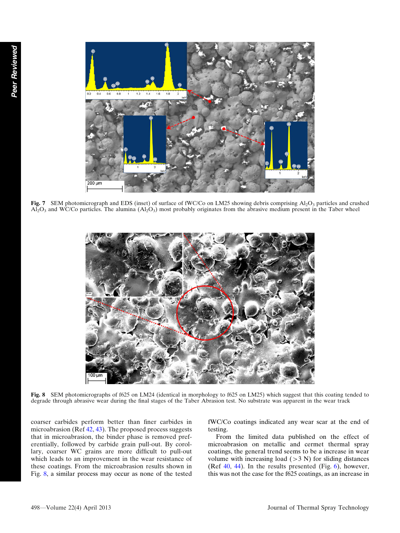

Fig. 7 SEM photomicrograph and EDS (inset) of surface of fWC/Co on LM25 showing debris comprising Al<sub>2</sub>O<sub>3</sub> particles and crushed  $A_{2}^{T}O_{3}$  and WC/Co particles. The alumina  $(A_{2}^{T}O_{3})$  most probably originates from the abrasive medium present in the Taber wheel



Fig. 8 SEM photomicrographs of f625 on LM24 (identical in morphology to f625 on LM25) which suggest that this coating tended to degrade through abrasive wear during the final stages of the Taber Abrasion test. No substrate was apparent in the wear track

coarser carbides perform better than finer carbides in microabrasion (Ref 42, 43). The proposed process suggests that in microabrasion, the binder phase is removed preferentially, followed by carbide grain pull-out. By corollary, coarser WC grains are more difficult to pull-out which leads to an improvement in the wear resistance of these coatings. From the microabrasion results shown in Fig. 8, a similar process may occur as none of the tested fWC/Co coatings indicated any wear scar at the end of testing.

From the limited data published on the effect of microabrasion on metallic and cermet thermal spray coatings, the general trend seems to be a increase in wear volume with increasing load  $(>3 N)$  for sliding distances (Ref  $40$ ,  $44$ ). In the results presented (Fig.  $6$ ), however, this was not the case for the f625 coatings, as an increase in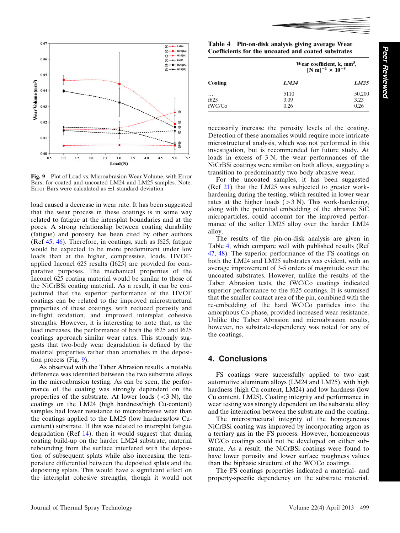Peer

Reviewed



Fig. 9 Plot of Load vs. Microabrasion Wear Volume, with Error Bars, for coated and uncoated LM24 and LM25 samples. Note: Error Bars were calculated as  $\pm 1$  standard deviation

load caused a decrease in wear rate. It has been suggested that the wear process in these coatings is in some way related to fatigue at the intersplat boundaries and at the pores. A strong relationship between coating durability (fatigue) and porosity has been cited by other authors (Ref 45, 46). Therefore, in coatings, such as f625, fatigue would be expected to be more predominant under low loads than at the higher, compressive, loads. HVOFapplied Inconel 625 results (I625) are provided for comparative purposes. The mechanical properties of the Inconel 625 coating material would be similar to those of the NiCrBSi coating material. As a result, it can be conjectured that the superior performance of the HVOF coatings can be related to the improved microstructural properties of these coatings, with reduced porosity and in-flight oxidation, and improved intersplat cohesive strengths. However, it is interesting to note that, as the load increases, the performance of both the f625 and I625 coatings approach similar wear rates. This strongly suggests that two-body wear degradation is defined by the material properties rather than anomalies in the deposition process (Fig. 9).

As observed with the Taber Abrasion results, a notable difference was identified between the two substrate alloys in the microabrasion testing. As can be seen, the performance of the coating was strongly dependent on the properties of the substrate. At lower loads  $( $3 \text{ N}$ ), the$ coatings on the LM24 (high hardness/high Cu-content) samples had lower resistance to microabrasive wear than the coatings applied to the LM25 (low hardness/low Cucontent) substrate. If this was related to intersplat fatigue degradation (Ref 14), then it would suggest that during coating build-up on the harder LM24 substrate, material rebounding from the surface interfered with the deposition of subsequent splats while also increasing the temperature differential between the deposited splats and the depositing splats. This would have a significant effect on the intersplat cohesive strengths, though it would not

Table 4 Pin-on-disk analysis giving average Wear Coefficients for the uncoated and coated substrates

|                                        | Wear coefficient, k, mm <sup>3</sup> ,<br>[N m] <sup>-1</sup> × 10 <sup>-8</sup> |                        |  |  |
|----------------------------------------|----------------------------------------------------------------------------------|------------------------|--|--|
| Coating                                | LM24                                                                             | LM25                   |  |  |
| $\cdots$<br>f <sub>625</sub><br>fWC/Co | 5110<br>3.09<br>0.26                                                             | 50,200<br>3.23<br>0.26 |  |  |

necessarily increase the porosity levels of the coating. Detection of these anomalies would require more intricate microstructural analysis, which was not performed in this investigation, but is recommended for future study. At loads in excess of 3 N, the wear performances of the NiCrBSi coatings were similar on both alloys, suggesting a transition to predominantly two-body abrasive wear.

For the uncoated samples, it has been suggested (Ref 21) that the LM25 was subjected to greater workhardening during the testing, which resulted in lower wear rates at the higher loads  $(>3 N)$ . This work-hardening, along with the potential embedding of the abrasive SiC microparticles, could account for the improved performance of the softer LM25 alloy over the harder LM24 alloy.

The results of the pin-on-disk analysis are given in Table 4, which compare well with published results (Ref 47, 48). The superior performance of the FS coatings on both the LM24 and LM25 substrates was evident, with an average improvement of 3-5 orders of magnitude over the uncoated substrates. However, unlike the results of the Taber Abrasion tests, the fWC/Co coatings indicated superior performance to the f625 coatings. It is surmised that the smaller contact area of the pin, combined with the re-embedding of the hard WC/Co particles into the amorphous Co-phase, provided increased wear resistance. Unlike the Taber Abrasion and microabrasion results, however, no substrate-dependency was noted for any of the coatings.

## 4. Conclusions

FS coatings were successfully applied to two cast automotive aluminum alloys (LM24 and LM25), with high hardness (high Cu content, LM24) and low hardness (low Cu content, LM25). Coating integrity and performance in wear testing was strongly dependent on the substrate alloy and the interaction between the substrate and the coating.

The microstructural integrity of the homogeneous NiCrBSi coating was improved by incorporating argon as a tertiary gas in the FS process. However, homogeneous WC/Co coatings could not be developed on either substrate. As a result, the NiCrBSi coatings were found to have lower porosity and lower surface roughness values than the biphasic structure of the WC/Co coatings.

The FS coatings properties indicated a material- and property-specific dependency on the substrate material.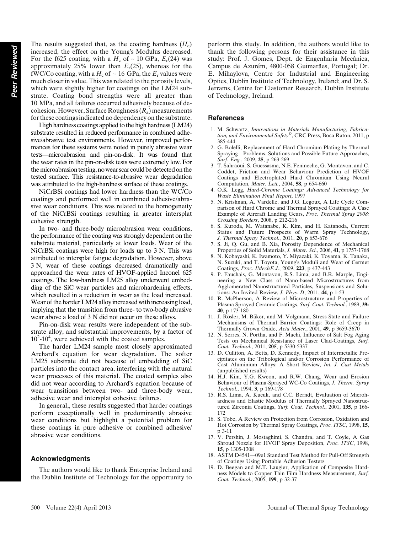The results suggested that, as the coating hardness  $(H_c)$ increased, the effect on the Young's Modulus decreased. For the f625 coating, with a  $H_c$  of ~ 10 GPa,  $E_r(24)$  was approximately 25% lower than  $E_r(25)$ , whereas for the fWC/Co coating, with a  $H_c$  of  $\sim$  16 GPa, the  $E_r$  values were much closer in value. This was related to the porosity levels, which were slightly higher for coatings on the LM24 substrate. Coating bond strengths were all greater than 10 MPa, and all failures occurred adhesively because of decohesion. However, Surface Roughness  $(R_a)$  measurements for these coatings indicated no dependency on the substrate.

High hardness coatings applied to the high hardness (LM24) substrate resulted in reduced performance in combined adhesive/abrasive test environments. However, improved performances for these systems were noted in purely abrasive wear tests—microabrasion and pin-on-disk. It was found that the wear rates in the pin-on-disk tests were extremely low. For the microabrasion testing, no wear scar could be detected on the tested surface. This resistance-to-abrasive wear degradation was attributed to the high-hardness surface of these coatings.

NiCrBSi coatings had lower hardness than the WC/Co coatings and performed well in combined adhesive/abrasive wear conditions. This was related to the homogeneity of the NiCrBSi coatings resulting in greater intersplat cohesive strength.

In two- and three-body microabrasion wear conditions, the performance of the coating was strongly dependent on the substrate material, particularly at lower loads. Wear of the NiCrBSi coatings were high for loads up to 3 N. This was attributed to intersplat fatigue degradation. However, above 3 N, wear of these coatings decreased dramatically and approached the wear rates of HVOF-applied Inconel 625 coatings. The low-hardness LM25 alloy underwent embedding of the SiC wear particles and microhardening effects, which resulted in a reduction in wear as the load increased. Wear of the harder LM24 alloy increased with increasing load, implying that the transition from three- to two-body abrasive wear above a load of 3 N did not occur on these alloys.

Pin-on-disk wear results were independent of the substrate alloy, and substantial improvements, by a factor of  $10^2$ -10<sup>4</sup>, were achieved with the coated samples.

The harder LM24 sample most closely approximated Archard's equation for wear degradation. The softer LM25 substrate did not because of embedding of SiC particles into the contact area, interfering with the natural wear processes of this material. The coated samples also did not wear according to Archard's equation because of wear transitions between two- and three-body wear, adhesive wear and intersplat cohesive failures.

In general,, these results suggested that harder coatings perform exceptionally well in predominantly abrasive wear conditions but highlight a potential problem for these coatings in pure adhesive or combined adhesive/ abrasive wear conditions.

#### Acknowledgments

The authors would like to thank Enterprise Ireland and the Dublin Institute of Technology for the opportunity to perform this study. In addition, the authors would like to thank the following persons for their assistance in this study: Prof. J. Gomes, Dept. de Engenharia Mecânica, Campus de Azurém, 4800-058 Guimarães, Portugal; Dr. E. Mihaylova, Centre for Industrial and Engineering Optics, Dublin Institute of Technology, Ireland; and Dr. S. Jerrams, Centre for Elastomer Research, Dublin Institute of Technology, Ireland.

#### **References**

- 1. M. Schwartz, Innovations in Materials Manufacturing, Fabrication, and Environmental Safety®, CRC Press, Boca Raton, 2011, p 385-444
- 2. G. Bolelli, Replacement of Hard Chromium Plating by Thermal Spraying—Problems, Solutions and Possible Future Approaches, Surf. Eng., 2009, 25, p 263-269
- 3. T. Sahraoui, S. Guessasma, N.E. Fenineche, G. Montavon, and C. Coddet, Friction and Wear Behaviour Prediction of HVOF Coatings and Electroplated Hard Chromium Using Neural Computation, Mater. Lett., 2004, 58, p 654-660
- 4. O.K. Legg, Hard-Chrome Coatings: Advanced Technology for Waste Elimination Final Report, 1997
- 5. N. Krishnan, A. Vardelle, and J.G. Legoux, A Life Cycle Comparison of Hard Chrome and Thermal Sprayed Coatings: A Case Example of Aircraft Landing Gears, Proc. Thermal Spray 2008: Crossing Borders, 2008, p 212-216
- 6. S. Kuroda, M. Watanabe, K. Kim, and H. Katanoda, Current Status and Future Prospects of Warm Spray Technology, J. Thermal Spray Technol., 2011, 20, p 653-676
- 7. S. Ji, Q. Gu, and B. Xia, Porosity Dependence of Mechanical Properties of Solid Materials, J. Mater. Sci., 2006, 41, p 1757-1768
- 8. N. Kobayashi, K. Iwamoto, Y. Miyazaki, K. Toyama, K. Tanaka, N. Suzuki, and T. Toyota, Young's Moduli and Wear of Cermet Coatings, Proc. IMechE J., 2009, 223, p 437-443
- 9. P. Fauchais, G. Montavon, R.S. Lima, and B.R. Marple, Engineering a New Class of Nano-based Microstructures from Agglomerated Nanostructured Particles, Suspensions and Solutions: An Invited Review, J. Phys. D, 2011, 44, p 1-53
- 10. R. McPherson, A Review of Microstructure and Properties of Plasma Sprayed Ceramic Coatings, Surf. Coat. Technol., 1989, 39- 40, p 173-180
- 11. J. Rösler, M. Bäker, and M. Volgmann, Stress State and Failure Mechanisms of Thermal Barrier Coatings: Role of Creep in Thermally Grown Oxide, Acta Mater., 2001, 49, p 3659-3670
- 12. N. Serres, N. Portha, and F. Machi, Influence of Salt Fog Aging Tests on Mechanical Resistance of Laser Clad-Coatings, Surf. Coat. Technol., 2011, 205, p 5330-5337
- 13. D. Culliton, A. Betts, D. Kennedy, Impact of Intermetallic Precipitates on the Tribological and/or Corrosion Performance of Cast Aluminium Alloys: A Short Review, Int. J. Cast Metals (unpublished results)
- 14. H.J. Kim, Y.G. Kweon, and R.W. Chang, Wear and Erosion Behaviour of Plasma-Sprayed WC-Co Coatings, J. Therm. Spray Technol., 1994, 3, p 169-178
- 15. R.S. Lima, A. Kucuk, and C.C. Berndt, Evaluation of Microhardness and Elastic Modulus of Thermally Sprayed Nanostructured Zirconia Coatings, Surf. Coat. Technol., 2001, 135, p 166-172
- 16. S. Tobe, A Review on Protection from Corrosion, Oxidation and Hot Corrosion by Thermal Spray Coatings, Proc. ITSC, 1998, 15, p 3-11
- 17. V. Pershin, J. Mostaghimi, S. Chandra, and T. Coyle, A Gas Shroud Nozzle for HVOF Spray Deposition, Proc. ITSC, 1998, 15, p 1305-1308
- 18. ASTM D4541—09e1 Standard Test Method for Pull-Off Strength of Coatings Using Portable Adhesion Testers
- 19. D. Beegan and M.T. Laugier, Application of Composite Hardness Models to Copper Thin Film Hardness Measurement, Surf. Coat. Technol., 2005, 199, p 32-37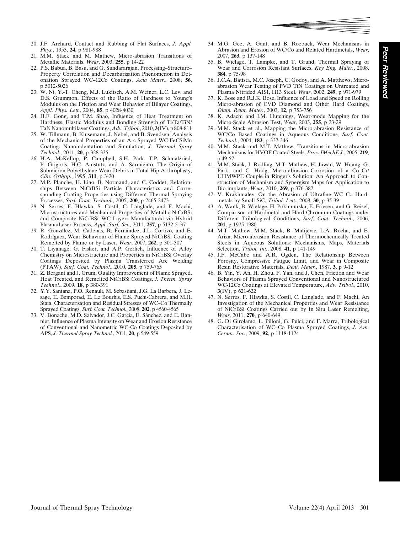- 20. J.F. Archard, Contact and Rubbing of Flat Surfaces, J. Appl. Phys., 1953, 24, p 981-988
- 21. M.M. Stack and M. Mathew, Micro-abrasion Transitions of Metallic Materials, Wear, 2003, 255, p 14-22
- 22. P.S. Babua, B. Basu, and G. Sundararajan, Processing–Structure– Property Correlation and Decarburisation Phenomenon in Detonation Sprayed WC–12Co Coatings, Acta Mater., 2008, 56, p 5012-5026
- 23. W. Ni, Y.-T. Cheng, M.J. Lukitsch, A.M. Weiner, L.C. Lev, and D.S. Grummon, Effects of the Ratio of Hardness to Young's Modulus on the Friction and Wear Behavior of Bilayer Coatings, Appl. Phys. Lett., 2004, 85, p 4028-4030
- 24. H.F. Gong, and T.M. Shao, Influence of Heat Treatment on Hardness, Elastic Modulus and Bonding Strength of Ti/Ta/TiN/ TaN Nanomultilayer Coatings, Adv. Tribol., 2010, 3(IV), p 808-811
- 25. W. Tillmann, B. Klusemann, J. Nebel, and B. Svendsen, Analysis of the Mechanical Properties of an Arc-Sprayed WC-FeCSiMn Coating: Nanoindentation and Simulation, J. Thermal Spray Technol., 2011, 20, p 328-335
- 26. H.A. McKellop, P. Campbell, S.H. Park, T.P. Schmalzried, P. Grigoris, H.C. Amstutz, and A. Sarmiento, The Origin of Submicron Polyethylene Wear Debris in Total Hip Arthroplasty, Clin. Orthop., 1995, 311, p 3-20
- 27. M.P. Planche, H. Liao, B. Normand, and C. Coddet, Relationships Between NiCrBSi Particle Characteristics and Corresponding Coating Properties using Different Thermal Spraying Processes, Surf. Coat. Technol., 2005, 200, p 2465-2473
- 28. N. Serres, F. Hlawka, S. Costil, C. Langlade, and F. Machi, Microstructures and Mechanical Properties of Metallic NiCrBSi and Composite NiCrBSi–WC Layers Manufactured via Hybrid Plasma/Laser Process, Appl. Surf. Sci., 2011, 257, p 5132-5137
- 29. R. González, M. Cadenas, R. Fernández, J.L. Cortizo, and E. Rodríguez, Wear Behaviour of Flame Sprayed NiCrBSi Coating Remelted by Flame or by Laser, Wear, 2007, 262, p 301-307
- 30. T. Liyanage, G. Fisher, and A.P. Gerlich, Influence of Alloy Chemistry on Microstructure and Properties in NiCrBSi Overlay Coatings Deposited by Plasma Transferred Arc Welding (PTAW), Surf. Coat. Technol., 2010, 205, p 759-765
- 31. Z. Bergant and J. Grum, Quality Improvement of Flame Sprayed, Heat Treated, and Remelted NiCrBSi Coatings, J. Therm. Spray Technol., 2009, 18, p 380-391
- 32. Y.Y. Santana, P.O. Renault, M. Sebastiani, J.G. La Barbera, J. Lesage, E. Bemporad, E. Le Bourhis, E.S. Puchi-Cabrera, and M.H. Staia, Characterisation and Residual Stresses of WC–Co Thermally Sprayed Coatings, Surf. Coat. Technol., 2008, 202, p 4560-4565
- 33. V. Bonache, M.D. Salvador, J.C. García, E. Sánchez, and E. Bannier, Influence of Plasma Intensity on Wear and Erosion Resistance of Conventional and Nanometric WC-Co Coatings Deposited by APS, J. Thermal Spray Technol., 2011, 20, p 549-559
- 34. M.G. Gee, A. Gant, and B. Roebuck, Wear Mechanisms in Abrasion and Erosion of WC/Co and Related Hardmetals, Wear, 2007, 263, p 137-148
- 35. B. Wielage, T. Lampke, and T. Grund, Thermal Spraying of Wear and Corrosion Resistant Surfaces, Key Eng. Mater., 2008, 384, p 75-98
- 36. J.C.A. Batista, M.C. Joseph, C. Godoy, and A. Matthews, Microabrasion Wear Testing of PVD TiN Coatings on Untreated and Plasma Nitrided AISI, H13 Steel, Wear, 2002, 249, p 971-979
- 37. K. Bose and R.J.K. Bose, Influence of Load and Speed on Rolling Micro-abrasion of CVD Diamond and Other Hard Coatings, Diam. Relat. Mater., 2003, 12, p 753-756
- 38. K. Adachi and I.M. Hutchings, Wear-mode Mapping for the Micro-Scale Abrasion Test, Wear, 2003, 255, p 23-29
- 39. M.M. Stack et al., Mapping the Micro-abrasion Resistance of WC/Co Based Coatings in Aqueous Conditions, Surf. Coat. Technol., 2004, 183, p 337-346
- 40. M.M. Stack and M.T. Mathew, Transitions in Micro-abrasion Mechanisms for HVOF Coated Steels, Proc. IMechE J., 2005, 219, p 49-57
- 41. M.M. Stack, J. Rodling, M.T. Mathew, H. Jawan, W. Huang, G. Park, and C. Hodg, Micro-abrasion–Corrosion of a Co–Cr/ UHMWPE Couple in Ringer's Solution: An Approach to Construction of Mechanism and Synergism Maps for Application to Bio-implants, Wear, 2010, 269, p 376-382
- 42. V. Krakhmalev, On the Abrasion of Ultrafine WC–Co Hardmetals by Small SiC, Tribol. Lett., 2008, 30, p 35-39
- 43. A. Wank, B. Wielage, H. Pokhmurska, E. Friesen, and G. Reisel, Comparison of Hardmetal and Hard Chromium Coatings under Different Tribological Conditions, Surf. Coat. Technol., 2006, 201, p 1975-1980
- 44. M.T. Mathew, M.M. Stack, B. Matijevic, L.A. Rocha, and E. Ariza, Micro-abrasion Resistance of Thermochemically Treated Steels in Aqueous Solutions: Mechanisms, Maps, Materials Selection, Tribol. Int., 2008, 41, p 141-149
- 45. J.F. McCabe and A.R. Ogden, The Relationship Between Porosity, Compressive Fatigue Limit, and Wear in Composite Resin Restorative Materials, Dent. Mater., 1987, 3, p 9-12
- 46. B. Yin, Y. An, H. Zhou, F. Yan, and J. Chen, Friction and Wear Behaviors of Plasma Sprayed Conventional and Nanostructured WC-12Co Coatings at Elevated Temperature, Adv. Tribol., 2010, 3(IV), p 621-622
- 47. N. Serres, F. Hlawka, S. Costil, C. Langlade, and F. Machi, An Investigation of the Mechanical Properties and Wear Resistance of NiCrBSi Coatings Carried out by In Situ Laser Remelting, Wear, 2011, 270, p 640-649
- 48. G. Di Girolamo, L. Pilloni, G. Pulci, and F. Marra, Tribological Characterisation of WC–Co Plasma Sprayed Coatings, J. Am. Ceram. Soc., 2009, 92, p 1118-1124